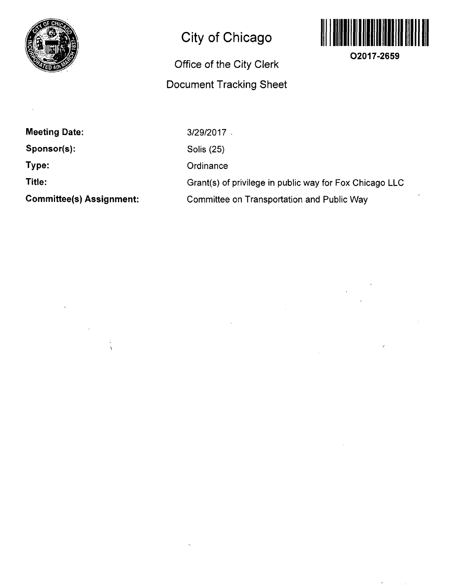

## **City of Chicago**

# **Office of the City Clerk Document Tracking Sheet**



**O2017-2659** 

**Meeting Date:** 

**Sponsor(s):** 

**Type:** 

**Title:** 

**Committee(s) Assignment:** 

3/29/2017 . Solis (25) **Ordinance** Grant(s) of privilege in public way for Fox Chicago LLC

Committee on Transportation and Public Way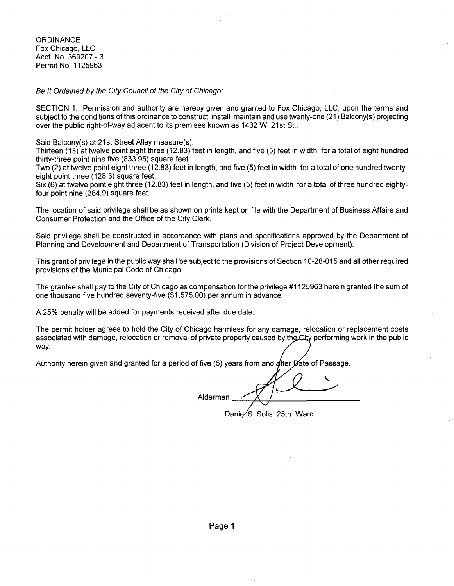**ORDINANCE** Fox Chicago, LLC Acct. No. 369207 - 3 Permit No. 1125963

Se It Ordained by the City Council of the City of Chicago:

SECTION 1. Permission and authority are hereby given and granted to Fox Chicago, LLC, upon the terms and subject to the conditions of this ordinance to construct, install, maintain and use twenty-one (21) Balcony(s) projecting over the public right-of-way adjacent to its premises known as 1432 W. 21st St..

Said Balcony(s) at 21st Street Alley measure(s):

Thirteen (13) at twelve point eight three (12.83) feet in length, and five (5) feet in width for a total of eight hundred thirty-three point nine five (833.95) square feet.

Two (2) at twelve point eight three (12.83) feet in length, and five (5) feet in width for a total of one hundred twentyeight point three (128.3) square feet.

Six (6) at twelve point eight three (12.83) feet in length, and five (5) feet in width for a total of three hundred eightyfour point nine (384.9) square feet.

The location of said privilege shall be as shown on prints kept on file with the Department of Business Affairs and Consumer Protection and the Office of the City Clerk.

Said privilege shall be constructed in accordance with plans and specifications approved by the Department of Planning and Development and Department of Transportation (Division of Project Development).

This grant of privilege in the public way shall be subject to the provisions of Section 10-28-015 and all other required provisions of the Municipal Code of Chicago.

The grantee shall pay to the City of Chicago as compensation forthe privilege #1125963 herein granted the sum of one thousand five hundred seventy-five (\$1,575.00) per annum in advance.

A 25% penalty will be added for payments received after due date.

The permit holder agrees to hold the City of Chicago harmless for any damage, relocation or replacement costs associated with damage, relocation or removal of private property caused by the City performing work in the public way.

Authority herein given and granted for a period of five (5) years from and after Date of Passage.

Alderman .

Danier'S. Solis 25th Ward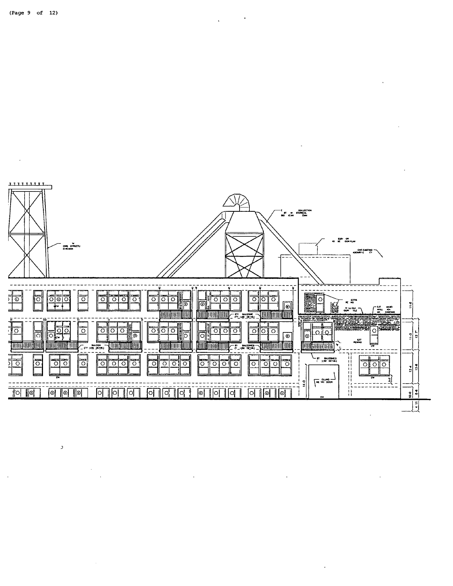

 $\mathfrak z$